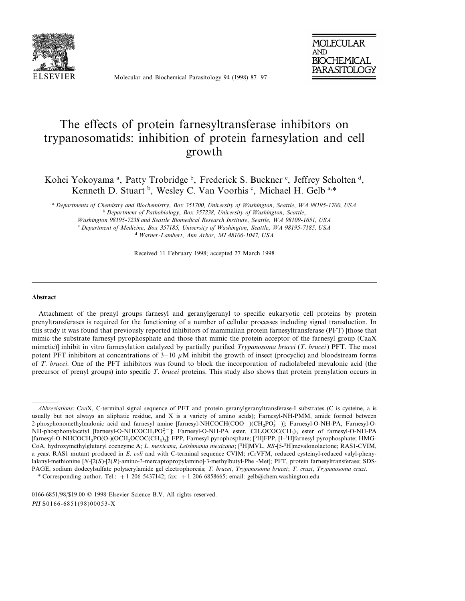

Molecular and Biochemical Parasitology 94 (1998) 87–97



# The effects of protein farnesyltransferase inhibitors on trypanosomatids: inhibition of protein farnesylation and cell growth

Kohei Yokoyama<sup>a</sup>, Patty Trobridge<sup>b</sup>, Frederick S. Buckner<sup>c</sup>, Jeffrey Scholten<sup>d</sup>, Kenneth D. Stuart<sup>b</sup>, Wesley C. Van Voorhis<sup>c</sup>, Michael H. Gelb<sup>a,\*</sup>

a Departments of Chemistry and Biochemistry, Box 351700, University of Washington, Seattle, WA 98195-1700, USA

<sup>b</sup> Department of Pathobiology, Box 357238, University of Washington, Seattle,

*Washington* 98195-7238 *and Seattle Biomedical Research Institute*, *Seattle*, *WA* 98109-1651, *USA* <sup>c</sup> *Department of Medicine*, *Box* <sup>357185</sup>, *Uni*6*ersity of Washington*, *Seattle*, *WA* <sup>98195</sup>-7185, *USA*

<sup>d</sup> *Warner*-*Lambert*, *Ann Arbor*, *MI* <sup>48106</sup>-1047, *USA*

Received 11 February 1998; accepted 27 March 1998

#### **Abstract**

Attachment of the prenyl groups farnesyl and geranylgeranyl to specific eukaryotic cell proteins by protein prenyltransferases is required for the functioning of a number of cellular processes including signal transduction. In this study it was found that previously reported inhibitors of mammalian protein farnesyltransferase (PFT) [those that mimic the substrate farnesyl pyrophosphate and those that mimic the protein acceptor of the farnesyl group (CaaX mimetic)] inhibit in vitro farnesylation catalyzed by partially purified *Trypanosoma brucei* (*T*. *brucei*) PFT. The most potent PFT inhibitors at concentrations of  $3-10 \mu M$  inhibit the growth of insect (procyclic) and bloodstream forms of *T*. *brucei*. One of the PFT inhibitors was found to block the incorporation of radiolabeled mevalonic acid (the precursor of prenyl groups) into specific *T*. *brucei* proteins. This study also shows that protein prenylation occurs in

*Abbre*6*iations*: CaaX, C-terminal signal sequence of PFT and protein geranylgeranyltransferase-I substrates (C is cysteine, a is usually but not always an aliphatic residue, and  $X$  is a variety of amino acids); Farnesyl-NH-PMM, amide formed between 2-phosphonomethylmalonic acid and farnesyl amine [farnesyl-NHCOCH(COO<sup>-</sup>)(CH<sub>2</sub>PO<sub>3</sub><sup>-</sup>)]; Farnesyl-O-NH-PA, Farnesyl-O-NH-phosphonylacetyl [farnesyl-O-NHCOCH<sub>2</sub>PO<sub>3</sub><sup>-</sup>]; Farnesyl-O-NH-PA ester, CH<sub>2</sub>OCOC(CH<sub>3</sub>)<sub>3</sub> ester of farnesyl-O-NH-PA [farnesyl-O-NHCOCH<sub>2</sub>PO(O-)(OCH<sub>2</sub>OCOC(CH<sub>3</sub>)<sub>3</sub>]; FPP, Farnesyl pyrophosphate; [<sup>3</sup>H]FPP, [1-<sup>3</sup>H]farnesyl pyrophosphate; HMG-CoA, hydroxymethylglutaryl coenzyme A; *L*. *mexicana*, *Leishmania mexicana*; [3 H]MVL, *RS*-[5-<sup>3</sup> H]mevalonolactone; RAS1-CVIM, a yeast RAS1 mutant produced in *E*. *coli* and with C-terminal sequence CVIM; rCrVFM, reduced cysteinyl-reduced valyl-phenylalanyl-methionine [*N*-[2(*S*)-[2(*R*)-amino-3-mercaptopropylamino]-3-methylbutyl-Phe -Met]; PFT, protein farnesyltransferase; SDS-PAGE, sodium dodecylsulfate polyacrylamide gel electrophoresis; *T*. *brucei*, *Trypanosoma brucei*; *T*. *cruzi*, *Trypanosoma cruzi*.

<sup>\*</sup> Corresponding author. Tel.: +1 206 5437142; fax: +1 206 6858665; email: gelb@chem.washington.edu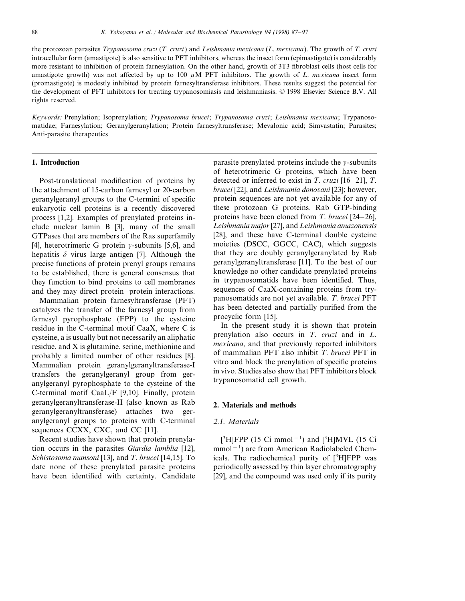the protozoan parasites *Trypanosoma cruzi* (*T*. *cruzi*) and *Leishmania mexicana* (*L*. *mexicana*). The growth of *T*. *cruzi* intracellular form (amastigote) is also sensitive to PFT inhibitors, whereas the insect form (epimastigote) is considerably more resistant to inhibition of protein farnesylation. On the other hand, growth of 3T3 fibroblast cells (host cells for amastigote growth) was not affected by up to 100  $\mu$ M PFT inhibitors. The growth of *L. mexicana* insect form (promastigote) is modestly inhibited by protein farnesyltransferase inhibitors. These results suggest the potential for the development of PFT inhibitors for treating trypanosomiasis and leishmaniasis. © 1998 Elsevier Science B.V. All rights reserved.

*Keywords*: Prenylation; Isoprenylation; *Trypanosoma brucei*; *Trypanosoma cruzi*; *Leishmania mexicana*; Trypanosomatidae; Farnesylation; Geranylgeranylation; Protein farnesyltransferase; Mevalonic acid; Simvastatin; Parasites; Anti-parasite therapeutics

#### **1. Introduction**

Post-translational modification of proteins by the attachment of 15-carbon farnesyl or 20-carbon geranylgeranyl groups to the C-termini of specific eukaryotic cell proteins is a recently discovered process [1,2]. Examples of prenylated proteins include nuclear lamin B [3], many of the small GTPases that are members of the Ras superfamily [4], heterotrimeric G protein  $\gamma$ -subunits [5,6], and hepatitis  $\delta$  virus large antigen [7]. Although the precise functions of protein prenyl groups remains to be established, there is general consensus that they function to bind proteins to cell membranes and they may direct protein–protein interactions.

Mammalian protein farnesyltransferase (PFT) catalyzes the transfer of the farnesyl group from farnesyl pyrophosphate (FPP) to the cysteine residue in the C-terminal motif CaaX, where C is cysteine, a is usually but not necessarily an aliphatic residue, and X is glutamine, serine, methionine and probably a limited number of other residues [8]. Mammalian protein geranylgeranyltransferase-I transfers the geranylgeranyl group from geranylgeranyl pyrophosphate to the cysteine of the C-terminal motif CaaL/F [9,10]. Finally, protein geranylgeranyltransferase-II (also known as Rab geranylgeranyltransferase) attaches two geranylgeranyl groups to proteins with C-terminal sequences CCXX, CXC, and CC [11].

Recent studies have shown that protein prenylation occurs in the parasites *Giardia lamblia* [12], *Schistosoma mansoni* [13], and *T*. *brucei* [14,15]. To date none of these prenylated parasite proteins have been identified with certainty. Candidate parasite prenylated proteins include the  $\gamma$ -subunits of heterotrimeric G proteins, which have been detected or inferred to exist in *T*. *cruzi* [16–21], *T*. *brucei* [22], and *Leishmania donovani* [23]; however, protein sequences are not yet available for any of these protozoan G proteins. Rab GTP-binding proteins have been cloned from *T*. *brucei* [24–26], *Leishmania major*[27], and *Leishmania amazonensis* [28], and these have C-terminal double cysteine moieties (DSCC, GGCC, CAC), which suggests that they are doubly geranylgeranylated by Rab geranylgeranyltransferase [11]. To the best of our knowledge no other candidate prenylated proteins in trypanosomatids have been identified. Thus, sequences of CaaX-containing proteins from trypanosomatids are not yet available. *T*. *brucei* PFT has been detected and partially purified from the procyclic form [15].

In the present study it is shown that protein prenylation also occurs in *T*. *cruzi* and in *L*. *mexicana*, and that previously reported inhibitors of mammalian PFT also inhibit *T*. *brucei* PFT in vitro and block the prenylation of specific proteins in vivo. Studies also show that PFT inhibitors block trypanosomatid cell growth.

#### **2. Materials and methods**

#### 2.1. *Materials*

[<sup>3</sup>H]FPP (15 Ci mmol<sup>-1</sup>) and [<sup>3</sup>H]MVL (15 Ci mmol−<sup>1</sup> ) are from American Radiolabeled Chemicals. The radiochemical purity of [3H]FPP was periodically assessed by thin layer chromatography [29], and the compound was used only if its purity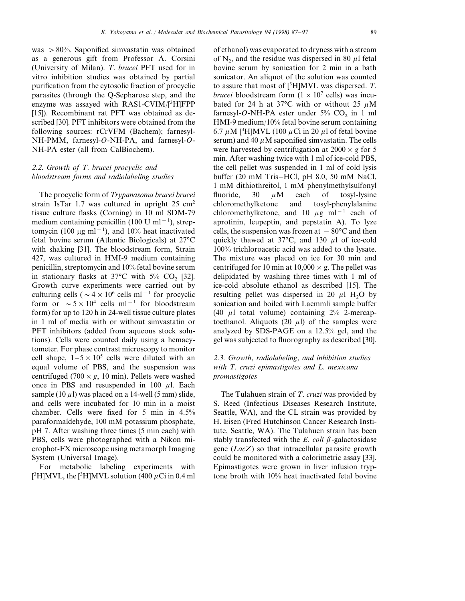was  $> 80\%$ . Saponified simvastatin was obtained as a generous gift from Professor A. Corsini (University of Milan). *T*. *brucei* PFT used for in vitro inhibition studies was obtained by partial purification from the cytosolic fraction of procyclic parasites (through the Q-Sepharose step, and the enzyme was assayed with RAS1-CVIM/[3H]FPP [15]). Recombinant rat PFT was obtained as described [30]. PFT inhibitors were obtained from the following sources: rCrVFM (Bachem); farnesyl-NH-PMM, farnesyl-*O*-NH-PA, and farnesyl-*O*-NH-PA ester (all from CalBiochem).

# 2.2. *Growth of T*. *brucei procyclic and bloodstream forms and radiolabeling studies*

The procyclic form of *Trypanasoma brucei brucei* strain IsTar 1.7 was cultured in upright 25 cm<sup>2</sup> tissue culture flasks (Corning) in 10 ml SDM-79 medium containing penicillin (100 U ml<sup>-1</sup>), streptomycin (100 µg ml<sup>-1</sup>), and 10% heat inactivated fetal bovine serum (Atlantic Biologicals) at 27°C with shaking [31]. The bloodstream form, Strain 427, was cultured in HMI-9 medium containing penicillin, streptomycin and 10% fetal bovine serum in stationary flasks at 37°C with  $5\%$  CO<sub>2</sub> [32]. Growth curve experiments were carried out by culturing cells ( $\sim 4 \times 10^6$  cells ml<sup>-1</sup> for procyclic form or  $\sim 5 \times 10^4$  cells ml<sup>-1</sup> for bloodstream form) for up to 120 h in 24-well tissue culture plates in 1 ml of media with or without simvastatin or PFT inhibitors (added from aqueous stock solutions). Cells were counted daily using a hemacytometer. For phase contrast microscopy to monitor cell shape,  $1-5 \times 10^5$  cells were diluted with an equal volume of PBS, and the suspension was centrifuged (700  $\times$  *g*, 10 min). Pellets were washed once in PBS and resuspended in 100  $\mu$ l. Each sample (10  $\mu$ 1) was placed on a 14-well (5 mm) slide, and cells were incubated for 10 min in a moist chamber. Cells were fixed for 5 min in 4.5% paraformaldehyde, 100 mM potassium phosphate, pH 7. After washing three times (5 min each) with PBS, cells were photographed with a Nikon microphot-FX microscope using metamorph Imaging System (Universal Image).

For metabolic labeling experiments with [<sup>3</sup>H]MVL, the [<sup>3</sup>H]MVL solution (400  $\mu$ Ci in 0.4 ml of ethanol) was evaporated to dryness with a stream of  $N_2$ , and the residue was dispersed in 80  $\mu$ l fetal bovine serum by sonication for 2 min in a bath sonicator. An aliquot of the solution was counted to assure that most of [3 H]MVL was dispersed. *T*. *brucei* bloodstream form  $(1 \times 10^7 \text{ cells})$  was incubated for 24 h at 37°C with or without 25  $\mu$ M farnesyl-O-NH-PA ester under  $5\%$  CO<sub>2</sub> in 1 ml HMI-9 medium/10% fetal bovine serum containing 6.7  $\mu$ M [<sup>3</sup>H]MVL (100  $\mu$ Ci in 20  $\mu$ l of fetal bovine serum) and 40  $\mu$ M saponified simvastatin. The cells were harvested by centrifugation at  $2000 \times g$  for 5 min. After washing twice with 1 ml of ice-cold PBS, the cell pellet was suspended in 1 ml of cold lysis buffer (20 mM Tris–HCl, pH 8.0, 50 mM NaCl, 1 mM dithiothreitol, 1 mM phenylmethylsulfonyl fluoride,  $30 \mu M$  each of tosyl-lysine chloromethylketone and tosyl-phenylalanine chloromethylketone, and 10  $\mu$ g ml<sup>-1</sup> each of aprotinin, leupeptin, and pepstatin A). To lyze cells, the suspension was frozen at  $-80^{\circ}$ C and then quickly thawed at  $37^{\circ}$ C, and  $130 \mu l$  of ice-cold 100% trichloroacetic acid was added to the lysate. The mixture was placed on ice for 30 min and centrifuged for 10 min at  $10,000 \times g$ . The pellet was delipidated by washing three times with 1 ml of ice-cold absolute ethanol as described [15]. The resulting pellet was dispersed in 20  $\mu$ l H<sub>2</sub>O by sonication and boiled with Laemmli sample buffer (40  $\mu$ l total volume) containing 2% 2-mercaptoethanol. Aliquots (20  $\mu$ l) of the samples were analyzed by SDS-PAGE on a 12.5% gel, and the gel was subjected to fluorography as described [30].

# 2.3. *Growth*, *radiolabeling*, *and inhibition studies with T*. *cruzi epimastigotes and L*. *mexicana promastigotes*

The Tulahuen strain of *T*. *cruzi* was provided by S. Reed (Infectious Diseases Research Institute, Seattle, WA), and the CL strain was provided by H. Eisen (Fred Hutchinson Cancer Research Institute, Seattle, WA). The Tulahuen strain has been stably transfected with the  $E$ . *coli*  $\beta$ -galactosidase gene (*LacZ*) so that intracellular parasite growth could be monitored with a colorimetric assay [33]. Epimastigotes were grown in liver infusion tryptone broth with 10% heat inactivated fetal bovine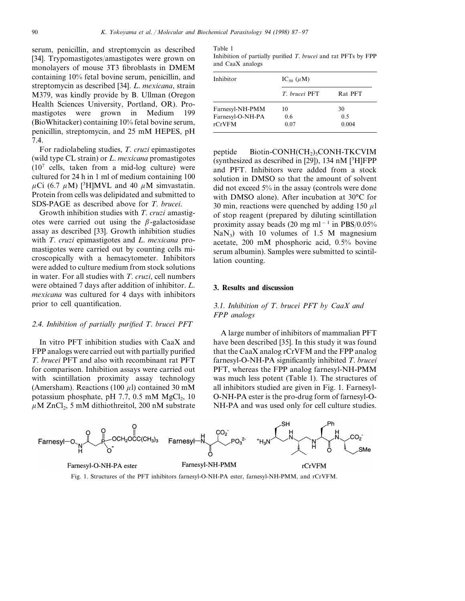serum, penicillin, and streptomycin as described [34]. Trypomastigotes/amastigotes were grown on monolayers of mouse 3T3 fibroblasts in DMEM containing 10% fetal bovine serum, penicillin, and streptomycin as described [34]. *L*. *mexicana*, strain M379, was kindly provide by B. Ullman (Oregon Health Sciences University, Portland, OR). Promastigotes were grown in Medium 199 (BioWhitacker) containing 10% fetal bovine serum, penicillin, streptomycin, and 25 mM HEPES, pH 7.4.

For radiolabeling studies, *T*. *cruzi* epimastigotes (wild type CL strain) or *L*. *mexicana* promastigotes  $(10<sup>7</sup>$  cells, taken from a mid-log culture) were cultured for 24 h in 1 ml of medium containing 100  $\mu$ Ci (6.7  $\mu$ M) [<sup>3</sup>H]MVL and 40  $\mu$ M simvastatin. Protein from cells was delipidated and submitted to SDS-PAGE as described above for *T*. *brucei*.

Growth inhibition studies with *T*. *cruzi* amastigotes were carried out using the  $\beta$ -galactosidase assay as described [33]. Growth inhibition studies with *T*. *cruzi* epimastigotes and *L*. *mexicana* promastigotes were carried out by counting cells microscopically with a hemacytometer. Inhibitors were added to culture medium from stock solutions in water. For all studies with *T*. *cruzi*, cell numbers were obtained 7 days after addition of inhibitor. *L*. *mexicana* was cultured for 4 days with inhibitors prior to cell quantification.

## 2.4. *Inhibition of partially purified T*. *brucei PFT*

In vitro PFT inhibition studies with CaaX and FPP analogs were carried out with partially purified *T*. *brucei* PFT and also with recombinant rat PFT for comparison. Inhibition assays were carried out with scintillation proximity assay technology (Amersham). Reactions (100  $\mu$ l) contained 30 mM potassium phosphate, pH 7.7, 0.5 mM  $MgCl<sub>2</sub>$ , 10  $\mu$ M ZnCl<sub>2</sub>, 5 mM dithiothreitol, 200 nM substrate

Table 1

Inhibition of partially purified *T*. *brucei* and rat PFTs by FPP and CaaX analogs

| Inhibitor        | IC <sub>50</sub> $(\mu M)$ |         |
|------------------|----------------------------|---------|
|                  | T brucei PFT               | Rat PFT |
| Farnesyl-NH-PMM  | 10                         | 30      |
| Farnesyl-O-NH-PA | 0.6                        | 0.5     |
| rCrVFM           | 0.07                       | 0.004   |

peptide Biotin-CONH(CH<sub>2</sub>)<sub>5</sub>CONH-TKCVIM (synthesized as described in [29]), 134 nM  $[3H]FPP$ and PFT. Inhibitors were added from a stock solution in DMSO so that the amount of solvent did not exceed 5% in the assay (controls were done with DMSO alone). After incubation at 30°C for 30 min, reactions were quenched by adding 150  $\mu$ l of stop reagent (prepared by diluting scintillation proximity assay beads (20 mg ml<sup>−</sup><sup>1</sup> in PBS/0.05%  $NaN<sub>3</sub>$ ) with 10 volumes of 1.5 M magnesium acetate, 200 mM phosphoric acid, 0.5% bovine serum albumin). Samples were submitted to scintillation counting.

## **3. Results and discussion**

## 3.1. *Inhibition of T*. *brucei PFT by CaaX and FPP analogs*

A large number of inhibitors of mammalian PFT have been described [35]. In this study it was found that the CaaX analog rCrVFM and the FPP analog farnesyl-O-NH-PA significantly inhibited *T*. *brucei* PFT, whereas the FPP analog farnesyl-NH-PMM was much less potent (Table 1). The structures of all inhibitors studied are given in Fig. 1. Farnesyl-O-NH-PA ester is the pro-drug form of farnesyl-O-NH-PA and was used only for cell culture studies.



Fig. 1. Structures of the PFT inhibitors farnesyl-O-NH-PA ester, farnesyl-NH-PMM, and rCrVFM.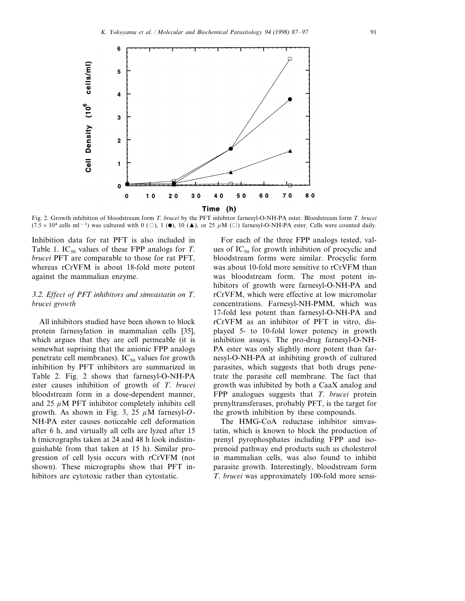

Fig. 2. Growth inhibition of bloodstream form *T*. *brucei* by the PFT inhibitor farnesyl-O-NH-PA ester. Bloodstream form *T*. *brucei* (7.5 × 10<sup>4</sup> cells ml<sup>-1</sup>) was cultured with 0 (○), 1 (●), 10 (▲), or 25  $\mu$ M (□) farnesyl-O-NH-PA ester. Cells were counted daily.

Inhibition data for rat PFT is also included in Table 1. IC<sub>50</sub> values of these FPP analogs for *T*. *brucei* PFT are comparable to those for rat PFT, whereas rCrVFM is about 18-fold more potent against the mammalian enzyme.

## 3.2. *Effect of PFT inhibitors and sim*6*astatin on T*. *brucei growth*

All inhibitors studied have been shown to block protein farnesylation in mammalian cells [35], which argues that they are cell permeable (it is somewhat suprising that the anionic FPP analogs penetrate cell membranes).  $IC_{50}$  values for growth inhibition by PFT inhibitors are summarized in Table 2. Fig. 2 shows that farnesyl-O-NH-PA ester causes inhibition of growth of *T*. *brucei* bloodstream form in a dose-dependent manner, and 25  $\mu$ M PFT inhibitor completely inhibits cell growth. As shown in Fig. 3, 25  $\mu$ M farnesyl-O-NH-PA ester causes noticeable cell deformation after 6 h, and virtually all cells are lyzed after 15 h (micrographs taken at 24 and 48 h look indistinguishable from that taken at 15 h). Similar progression of cell lysis occurs with rCrVFM (not shown). These micrographs show that PFT inhibitors are cytotoxic rather than cytostatic.

For each of the three FPP analogs tested, values of  $IC_{50}$  for growth inhibition of procyclic and bloodstream forms were similar. Procyclic form was about 10-fold more sensitive to rCrVFM than was bloodstream form. The most potent inhibitors of growth were farnesyl-O-NH-PA and rCrVFM, which were effective at low micromolar concentrations. Farnesyl-NH-PMM, which was 17-fold less potent than farnesyl-O-NH-PA and rCrVFM as an inhibitor of PFT in vitro, displayed 5- to 10-fold lower potency in growth inhibition assays. The pro-drug farnesyl-O-NH-PA ester was only slightly more potent than farnesyl-O-NH-PA at inhibiting growth of cultured parasites, which suggests that both drugs penetrate the parasite cell membrane. The fact that growth was inhibited by both a CaaX analog and FPP analogues suggests that *T*. *brucei* protein prenyltransferases, probably PFT, is the target for the growth inhibition by these compounds.

The HMG-CoA reductase inhibitor simvastatin, which is known to block the production of prenyl pyrophosphates including FPP and isoprenoid pathway end products such as cholesterol in mammalian cells, was also found to inhibit parasite growth. Interestingly, bloodstream form *T*. *brucei* was approximately 100-fold more sensi-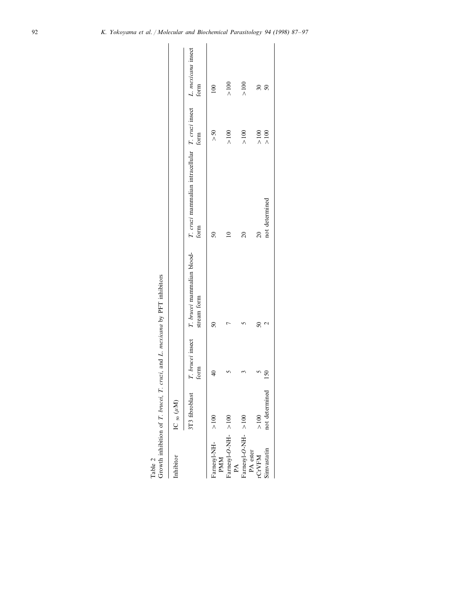| Table 2                        |                      |               | Growth inhibition of T. brucei, T. cruzi, and L. mexicana by PFT inhibitors |                                                                                                                         |            |                          |
|--------------------------------|----------------------|---------------|-----------------------------------------------------------------------------|-------------------------------------------------------------------------------------------------------------------------|------------|--------------------------|
| Inhibitor                      | IC $_{50}$ $(\mu$ M) |               |                                                                             |                                                                                                                         |            |                          |
|                                | 3T3 fibroblast       | form          | stream form                                                                 | T. brucei insect T. brucei mammalian blood- T. cruzi mammalian intracellular T. cruzi insect L. mexicana insect<br>form | form       | form                     |
| Farnesyl-NH-<br><b>PMM</b>     | $\frac{8}{100}$      | $\frac{1}{2}$ | $\overline{50}$                                                             | $\overline{50}$                                                                                                         | >50        | $\approx$                |
| Farnesyl-O-NH->100<br>PA       |                      |               |                                                                             |                                                                                                                         | $\geq 100$ | $\geq 100$               |
| Farnesyl-O-NH->100<br>PA ester |                      |               |                                                                             | $\overline{20}$                                                                                                         | $\geq$ 100 | $\geq$ 100               |
| <b>rCrVFM</b>                  | $>100$               |               | $50\,$                                                                      | $\overline{20}$                                                                                                         | $>100$     | $\overline{\mathcal{E}}$ |
| Simvastatin                    | not determined       | 150           | C                                                                           | not determined                                                                                                          | $>100$     | $\delta$                 |
|                                |                      |               |                                                                             |                                                                                                                         |            |                          |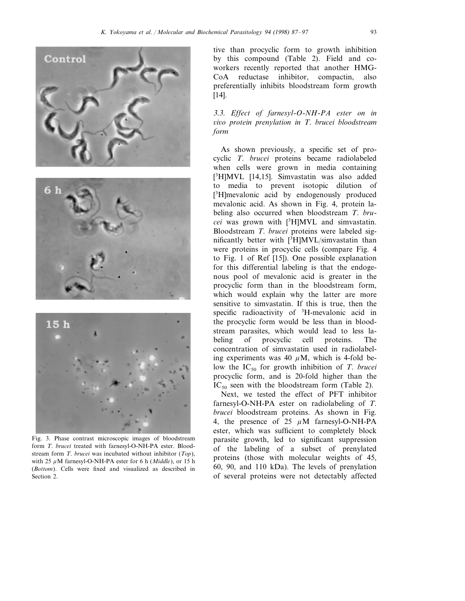





Fig. 3. Phase contrast microscopic images of bloodstream form *T*. *brucei* treated with farnesyl-O-NH-PA ester. Bloodstream form *T*. *brucei* was incubated without inhibitor (*Top*), with 25  $\mu$ M farnesyl-O-NH-PA ester for 6 h (*Middle*), or 15 h (*Bottom*). Cells were fixed and visualized as described in Section 2.

tive than procyclic form to growth inhibition by this compound (Table 2). Field and coworkers recently reported that another HMG-CoA reductase inhibitor, compactin, also preferentially inhibits bloodstream form growth [14].

3.3. *Effect of farnesyl*-*O*-*NH*-*PA ester on in* 6*i*6*o protein prenylation in T*. *brucei bloodstream form*

As shown previously, a specific set of procyclic *T*. *brucei* proteins became radiolabeled when cells were grown in media containing [ 3 H]MVL [14,15]. Simvastatin was also added to media to prevent isotopic dilution of [ 3 H]mevalonic acid by endogenously produced mevalonic acid. As shown in Fig. 4, protein labeling also occurred when bloodstream *T*. *brucei* was grown with [3 H]MVL and simvastatin. Bloodstream *T*. *brucei* proteins were labeled significantly better with [<sup>3</sup>H]MVL/simvastatin than were proteins in procyclic cells (compare Fig. 4 to Fig. 1 of Ref [15]). One possible explanation for this differential labeling is that the endogenous pool of mevalonic acid is greater in the procyclic form than in the bloodstream form, which would explain why the latter are more sensitive to simvastatin. If this is true, then the specific radioactivity of <sup>3</sup>H-mevalonic acid in the procyclic form would be less than in bloodstream parasites, which would lead to less labeling of procyclic cell proteins. The concentration of simvastatin used in radiolabeling experiments was 40  $\mu$ M, which is 4-fold below the IC<sub>50</sub> for growth inhibition of *T*. *brucei* procyclic form, and is 20-fold higher than the  $IC_{50}$  seen with the bloodstream form (Table 2).

Next, we tested the effect of PFT inhibitor farnesyl-O-NH-PA ester on radiolabeling of *T*. *brucei* bloodstream proteins. As shown in Fig. 4, the presence of 25  $\mu$ M farnesyl-O-NH-PA ester, which was sufficient to completely block parasite growth, led to significant suppression of the labeling of a subset of prenylated proteins (those with molecular weights of 45, 60, 90, and 110 kDa). The levels of prenylation of several proteins were not detectably affected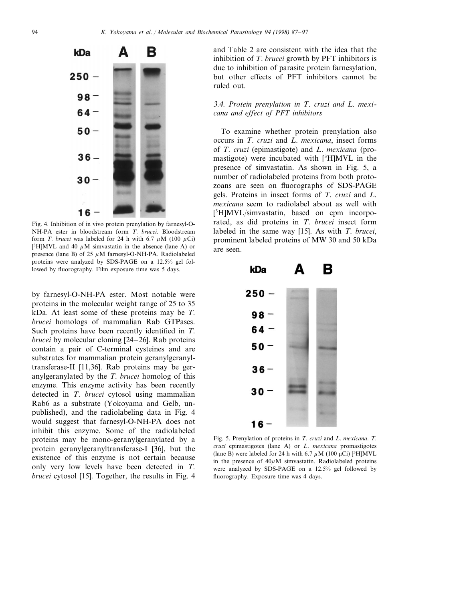

Fig. 4. Inhibition of in vivo protein prenylation by farnesyl-O-NH-PA ester in bloodstream form *T*. *brucei*. Bloodstream form *T*. *brucei* was labeled for 24 h with 6.7  $\mu$ M (100  $\mu$ Ci) [<sup>3</sup>H]MVL and 40  $\mu$ M simvastatin in the absence (lane A) or presence (lane B) of 25  $\mu$ M farnesyl-O-NH-PA. Radiolabeled proteins were analyzed by SDS-PAGE on a 12.5% gel followed by fluorography. Film exposure time was 5 days.

by farnesyl-O-NH-PA ester. Most notable were proteins in the molecular weight range of 25 to 35 kDa. At least some of these proteins may be *T*. *brucei* homologs of mammalian Rab GTPases. Such proteins have been recently identified in *T*. *brucei* by molecular cloning [24–26]. Rab proteins contain a pair of C-terminal cysteines and are substrates for mammalian protein geranylgeranyltransferase-II [11,36]. Rab proteins may be geranylgeranylated by the *T*. *brucei* homolog of this enzyme. This enzyme activity has been recently detected in *T*. *brucei* cytosol using mammalian Rab6 as a substrate (Yokoyama and Gelb, unpublished), and the radiolabeling data in Fig. 4 would suggest that farnesyl-O-NH-PA does not inhibit this enzyme. Some of the radiolabeled proteins may be mono-geranylgeranylated by a protein geranylgeranyltransferase-I [36], but the existence of this enzyme is not certain because only very low levels have been detected in *T*. *brucei* cytosol [15]. Together, the results in Fig. 4

and Table 2 are consistent with the idea that the inhibition of *T*. *brucei* growth by PFT inhibitors is due to inhibition of parasite protein farnesylation, but other effects of PFT inhibitors cannot be ruled out.

## 3.4. *Protein prenylation in T*. *cruzi and L*. *mexicana and effect of PFT inhibitors*

To examine whether protein prenylation also occurs in *T*. *cruzi* and *L*. *mexicana*, insect forms of *T*. *cruzi* (epimastigote) and *L*. *mexicana* (promastigote) were incubated with [3 H]MVL in the presence of simvastatin. As shown in Fig. 5, a number of radiolabeled proteins from both protozoans are seen on fluorographs of SDS-PAGE gels. Proteins in insect forms of *T*. *cruzi* and *L*. *mexicana* seem to radiolabel about as well with [ 3 H]MVL/simvastatin, based on cpm incorporated, as did proteins in *T*. *brucei* insect form labeled in the same way [15]. As with *T*. *brucei*, prominent labeled proteins of MW 30 and 50 kDa are seen.



Fig. 5. Prenylation of proteins in *T*. *cruzi* and *L*. *mexicana*. *T*. *cruzi* epimastigotes (lane A) or *L*. *mexicana* promastigotes (lane B) were labeled for 24 h with 6.7  $\mu$ M (100  $\mu$ Ci) [<sup>3</sup>H]MVL in the presence of  $40\mu$ M simvastatin. Radiolabeled proteins were analyzed by SDS-PAGE on a 12.5% gel followed by fluorography. Exposure time was 4 days.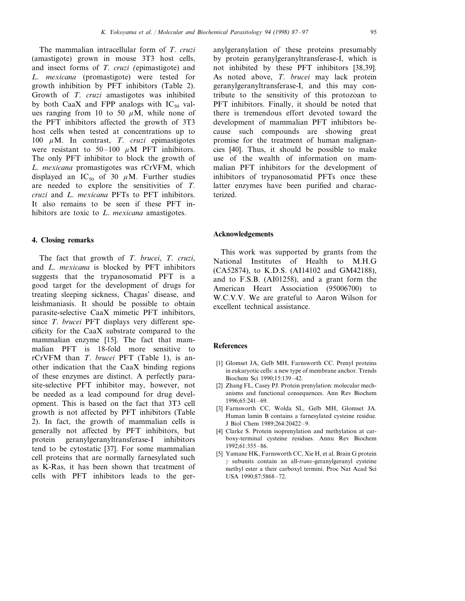The mammalian intracellular form of *T*. *cruzi* (amastigote) grown in mouse 3T3 host cells, and insect forms of *T*. *cruzi* (epimastigote) and *L*. *mexicana* (promastigote) were tested for growth inhibition by PFT inhibitors (Table 2). Growth of *T*. *cruzi* amastigotes was inhibited by both CaaX and FPP analogs with  $IC_{50}$  values ranging from 10 to 50  $\mu$ M, while none of the PFT inhibitors affected the growth of 3T3 host cells when tested at concentrations up to 100  $\mu$ M. In contrast, *T. cruzi* epimastigotes were resistant to 50–100  $\mu$ M PFT inhibitors. The only PFT inhibitor to block the growth of *L*. *mexicana* promastigotes was rCrVFM, which displayed an IC<sub>50</sub> of 30  $\mu$ M. Further studies are needed to explore the sensitivities of *T*. *cruzi* and *L*. *mexicana* PFTs to PFT inhibitors. It also remains to be seen if these PFT inhibitors are toxic to *L*. *mexicana* amastigotes.

#### **4. Closing remarks**

The fact that growth of *T*. *brucei*, *T*. *cruzi*, and *L*. *mexicana* is blocked by PFT inhibitors suggests that the trypanosomatid PFT is a good target for the development of drugs for treating sleeping sickness, Chagas' disease, and leishmaniasis. It should be possible to obtain parasite-selective CaaX mimetic PFT inhibitors, since *T*. *brucei* PFT displays very different specificity for the CaaX substrate compared to the mammalian enzyme [15]. The fact that mammalian PFT is 18-fold more sensitive to rCrVFM than *T*. *brucei* PFT (Table 1), is another indication that the CaaX binding regions of these enzymes are distinct. A perfectly parasite-selective PFT inhibitor may, however, not be needed as a lead compound for drug development. This is based on the fact that 3T3 cell growth is not affected by PFT inhibitors (Table 2). In fact, the growth of mammalian cells is generally not affected by PFT inhibitors, but protein geranylgeranyltransferase-I inhibitors tend to be cytostatic [37]. For some mammalian cell proteins that are normally farnesylated such as K-Ras, it has been shown that treatment of cells with PFT inhibitors leads to the geranylgeranylation of these proteins presumably by protein geranylgeranyltransferase-I, which is not inhibited by these PFT inhibitors [38,39]. As noted above, *T*. *brucei* may lack protein geranylgeranyltransferase-I, and this may contribute to the sensitivity of this protozoan to PFT inhibitors. Finally, it should be noted that there is tremendous effort devoted toward the development of mammalian PFT inhibitors because such compounds are showing great promise for the treatment of human malignancies [40]. Thus, it should be possible to make use of the wealth of information on mammalian PFT inhibitors for the development of inhibitors of trypanosomatid PFTs once these latter enzymes have been purified and characterized.

#### **Acknowledgements**

This work was supported by grants from the National Institutes of Health to M.H.G (CA52874), to K.D.S. (AI14102 and GM42188), and to F.S.B. (AI01258), and a grant form the American Heart Association (95006700) to W.C.V.V. We are grateful to Aaron Wilson for excellent technical assistance.

#### **References**

- [1] Glomset JA, Gelb MH, Farnsworth CC. Prenyl proteins in eukaryotic cells: a new type of membrane anchor. Trends Biochem Sci 1990;15:139–42.
- [2] Zhang FL, Casey PJ. Protein prenylation: molecular mechanisms and functional consequences. Ann Rev Biochem 1996;65:241–69.
- [3] Farnsworth CC, Wolda SL, Gelb MH, Glomset JA. Human lamin B contains a farnesylated cysteine residue. J Biol Chem 1989;264:20422–9.
- [4] Clarke S. Protein isoprenylation and methylation at carboxy-terminal cysteine residues. Annu Rev Biochem 1992;61:355–86.
- [5] Yamane HK, Farnsworth CC, Xie H, et al. Brain G protein g subunits contain an all-*trans*-geranylgeranyl cysteine methyl ester a their carboxyl termini. Proc Nat Acad Sci USA 1990;87:5868–72.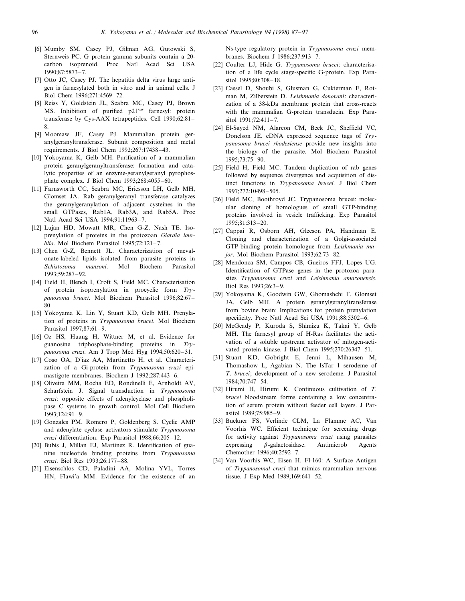- [6] Mumby SM, Casey PJ, Gilman AG, Gutowski S, Sternweis PC. G protein gamma subunits contain a 20 carbon isoprenoid. Proc Natl Acad Sci USA 1990;87:5873–7.
- [7] Otto JC, Casey PJ. The hepatitis delta virus large antigen is farnesylated both in vitro and in animal cells. J Biol Chem 1996;271:4569–72.
- [8] Reiss Y, Goldstein JL, Seabra MC, Casey PJ, Brown MS. Inhibition of purified p21*ras* farnesyl: protein transferase by Cys-AAX tetrapeptides. Cell 1990;62:81– 8.
- [9] Moomaw JF, Casey PJ. Mammalian protein geranylgeranyltransferase. Subunit composition and metal requirements. J Biol Chem 1992;267:17438–43.
- [10] Yokoyama K, Gelb MH. Purification of a mammalian protein geranylgeranyltransferase: formation and catalytic properties of an enzyme-geranylgeranyl pyrophosphate complex. J Biol Chem 1993;268:4055–60.
- [11] Farnsworth CC, Seabra MC, Ericsson LH, Gelb MH, Glomset JA. Rab geranylgeranyl transferase catalyzes the geranylgeranylation of adjacent cysteines in the small GTPases, Rab1A, Rab3A, and Rab5A. Proc Natl Acad Sci USA 1994;91:11963–7.
- [12] Lujan HD, Mowatt MR, Chen G-Z, Nash TE. Isoprenylation of proteins in the protozoan *Giardia lamblia*. Mol Biochem Parasitol 1995;72:121–7.
- [13] Chen G-Z, Bennett JL. Characterization of mevalonate-labeled lipids isolated from parasite proteins in *Schistosoma mansoni*. Mol Biochem Parasitol 1993;59:287–92.
- [14] Field H, Blench I, Croft S, Field MC. Characterisation of protein isoprenylation in procyclic form *Trypanosoma brucei*. Mol Biochem Parasitol 1996;82:67– 80.
- [15] Yokoyama K, Lin Y, Stuart KD, Gelb MH. Prenylation of proteins in *Trypanosoma brucei*. Mol Biochem Parasitol 1997;87:61–9.
- [16] Oz HS, Huang H, Wittner M, et al. Evidence for guanosine triphosphate-binding proteins in *Trypanosoma cruzi*. Am J Trop Med Hyg 1994;50:620–31.
- [17] Coso OA, D'iaz AA, Martinetto H, et al. Characterization of a Gi-protein from *Trypanosoma cruzi* epimastigote membranes. Biochem J 1992;287:443–6.
- [18] Oliveira MM, Rocha ED, Rondinelli E, Arnholdt AV, Scharfstein J. Signal transduction in *Trypanosoma cruzi*: opposite effects of adenylcyclase and phospholipase C systems in growth control. Mol Cell Biochem 1993;124:91–9.
- [19] Gonzales PM, Romero P, Goldenberg S. Cyclic AMP and adenylate cyclase activators stimulate *Trypanosoma cruzi* differentiation. Exp Parasitol 1988;66:205–12.
- [20] Bubis J, Millan EJ, Martinez R. Identification of guanine nucleotide binding proteins from *Trypanosoma cruzi*. Biol Res 1993;26:177–88.
- [21] Eisenschlos CD, Paladini AA, Molina YVL, Torres HN, Flawi'a MM. Evidence for the existence of an

Ns-type regulatory protein in *Trypanosoma cruzi* membranes. Biochem J 1986;237:913–7.

- [22] Coulter LJ, Hide G. *Trypanosoma brucei*: characterisation of a life cycle stage-specific G-protein. Exp Parasitol 1995;80:308–18.
- [23] Cassel D, Shoubi S, Glusman G, Cukierman E, Rotman M, Zilberstein D. *Leishmania donovani*: characterization of a 38-kDa membrane protein that cross-reacts with the mammalian G-protein transducin. Exp Parasitol 1991;72:411–7.
- [24] El-Sayed NM, Alarcon CM, Beck JC, Sheffield VC, Donelson JE. cDNA expressed sequence tags of *Trypanosoma brucei rhodesiense* provide new insights into the biology of the parasite. Mol Biochem Parasitol 1995;73:75–90.
- [25] Field H, Field MC. Tandem duplication of rab genes followed by sequence divergence and acquisition of distinct functions in *Trypanosoma brucei*. J Biol Chem 1997;272:10498–505.
- [26] Field MC, Boothroyd JC. Trypanosoma brucei: molecular cloning of homologues of small GTP-binding proteins involved in vesicle trafficking. Exp Parasitol 1995;81:313–20.
- [27] Cappai R, Osborn AH, Gleeson PA, Handman E. Cloning and characterization of a Golgi-associated GTP-binding protein homologue from *Leishmania major*. Mol Biochem Parasitol 1993;62:73–82.
- [28] Mendonca SM, Campos CB, Gueiros FFJ, Lopes UG. Identification of GTPase genes in the protozoa parasites *Trypanosoma cruzi* and *Leishmania amazonensis*. Biol Res 1993;26:3–9.
- [29] Yokoyama K, Goodwin GW, Ghomashchi F, Glomset JA, Gelb MH. A protein geranylgeranyltransferase from bovine brain: Implications for protein prenylation specificity. Proc Natl Acad Sci USA 1991;88:5302–6.
- [30] McGeady P, Kuroda S, Shimizu K, Takai Y, Gelb MH. The farnesyl group of H-Ras facilitates the activation of a soluble upstream activator of mitogen-activated protein kinase. J Biol Chem 1995;270:26347–51.
- [31] Stuart KD, Gobright E, Jenni L, Mihausen M, Thomashow L, Agabian N. The IsTar 1 serodeme of *T*. *brucei*; development of a new serodeme. J Parasitol 1984;70:747–54.
- [32] Hirumi H, Hirumi K. Continuous cultivation of *T*. *brucei* bloodstream forms containing a low concentration of serum protein without feeder cell layers. J Parasitol 1989;75:985–9.
- [33] Buckner FS, Verlinde CLM, La Flamme AC, Van Voorhis WC. Efficient technique for screening drugs for activity against *Trypanosoma cruzi* using parasites expressing  $\beta$ -galactosidase. Antimicrob Agents Chemother 1996;40:2592–7.
- [34] Van Voorhis WC, Eisen H. Fl-160: A Surface Antigen of *Trypanosomal cruzi* that mimics mammalian nervous tissue. J Exp Med 1989;169:641–52.